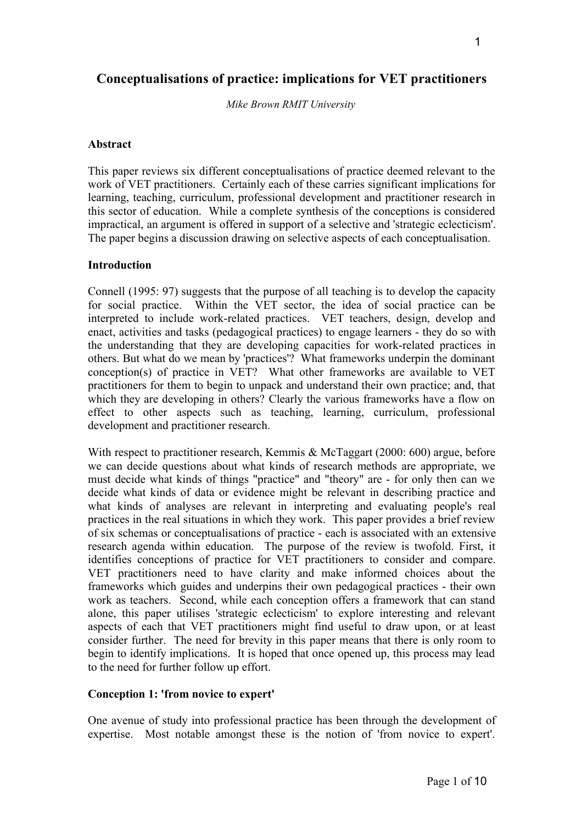*Mike Brown RMIT University*

## **Abstract**

This paper reviews six different conceptualisations of practice deemed relevant to the work of VET practitioners. Certainly each of these carries significant implications for learning, teaching, curriculum, professional development and practitioner research in this sector of education. While a complete synthesis of the conceptions is considered impractical, an argument is offered in support of a selective and 'strategic eclecticism'. The paper begins a discussion drawing on selective aspects of each conceptualisation.

#### **Introduction**

Connell (1995: 97) suggests that the purpose of all teaching is to develop the capacity for social practice. Within the VET sector, the idea of social practice can be interpreted to include work-related practices. VET teachers, design, develop and enact, activities and tasks (pedagogical practices) to engage learners - they do so with the understanding that they are developing capacities for work-related practices in others. But what do we mean by 'practices'? What frameworks underpin the dominant conception(s) of practice in VET? What other frameworks are available to VET practitioners for them to begin to unpack and understand their own practice; and, that which they are developing in others? Clearly the various frameworks have a flow on effect to other aspects such as teaching, learning, curriculum, professional development and practitioner research.

With respect to practitioner research, Kemmis & McTaggart (2000: 600) argue, before we can decide questions about what kinds of research methods are appropriate, we must decide what kinds of things "practice" and "theory" are - for only then can we decide what kinds of data or evidence might be relevant in describing practice and what kinds of analyses are relevant in interpreting and evaluating people's real practices in the real situations in which they work. This paper provides a brief review of six schemas or conceptualisations of practice - each is associated with an extensive research agenda within education. The purpose of the review is twofold. First, it identifies conceptions of practice for VET practitioners to consider and compare. VET practitioners need to have clarity and make informed choices about the frameworks which guides and underpins their own pedagogical practices - their own work as teachers. Second, while each conception offers a framework that can stand alone, this paper utilises 'strategic eclecticism' to explore interesting and relevant aspects of each that VET practitioners might find useful to draw upon, or at least consider further. The need for brevity in this paper means that there is only room to begin to identify implications. It is hoped that once opened up, this process may lead to the need for further follow up effort.

# **Conception 1: 'from novice to expert'**

One avenue of study into professional practice has been through the development of expertise. Most notable amongst these is the notion of 'from novice to expert'.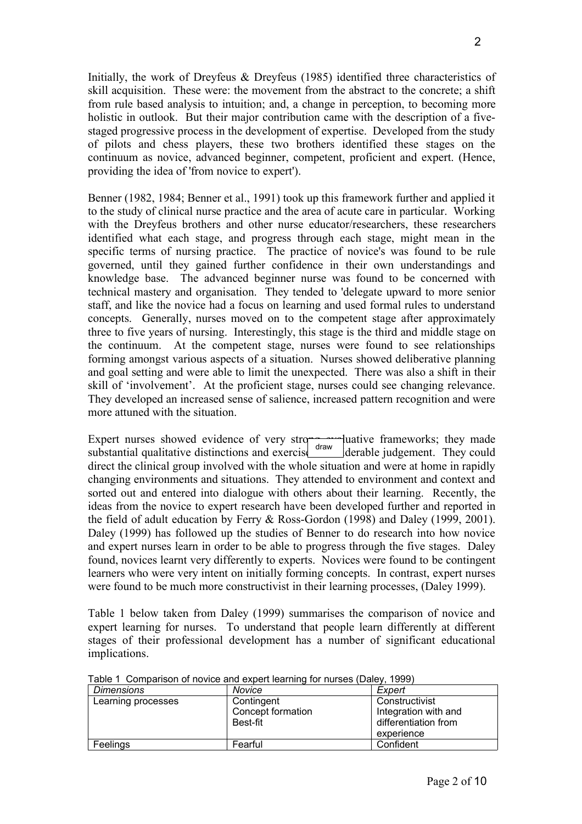Initially, the work of Dreyfeus & Dreyfeus (1985) identified three characteristics of skill acquisition. These were: the movement from the abstract to the concrete; a shift from rule based analysis to intuition; and, a change in perception, to becoming more holistic in outlook. But their major contribution came with the description of a fivestaged progressive process in the development of expertise. Developed from the study of pilots and chess players, these two brothers identified these stages on the continuum as novice, advanced beginner, competent, proficient and expert. (Hence, providing the idea of 'from novice to expert').

Benner (1982, 1984; Benner et al., 1991) took up this framework further and applied it to the study of clinical nurse practice and the area of acute care in particular. Working with the Dreyfeus brothers and other nurse educator/researchers, these researchers identified what each stage, and progress through each stage, might mean in the specific terms of nursing practice. The practice of novice's was found to be rule governed, until they gained further confidence in their own understandings and knowledge base. The advanced beginner nurse was found to be concerned with technical mastery and organisation. They tended to 'delegate upward to more senior staff, and like the novice had a focus on learning and used formal rules to understand concepts. Generally, nurses moved on to the competent stage after approximately three to five years of nursing. Interestingly, this stage is the third and middle stage on the continuum. At the competent stage, nurses were found to see relationships forming amongst various aspects of a situation. Nurses showed deliberative planning and goal setting and were able to limit the unexpected. There was also a shift in their skill of 'involvement'. At the proficient stage, nurses could see changing relevance. They developed an increased sense of salience, increased pattern recognition and were more attuned with the situation.

Expert nurses showed evidence of very strong evaluative frameworks; they made substantial qualitative distinctions and exercised  $\frac{q_{\text{raw}}}{q_{\text{beam}}}$  derable judgement. They could direct the clinical group involved with the whole situation and were at home in rapidly changing environments and situations. They attended to environment and context and sorted out and entered into dialogue with others about their learning. Recently, the ideas from the novice to expert research have been developed further and reported in the field of adult education by Ferry & Ross-Gordon (1998) and Daley (1999, 2001). Daley (1999) has followed up the studies of Benner to do research into how novice and expert nurses learn in order to be able to progress through the five stages. Daley found, novices learnt very differently to experts. Novices were found to be contingent learners who were very intent on initially forming concepts. In contrast, expert nurses were found to be much more constructivist in their learning processes, (Daley 1999). draw

Table 1 below taken from Daley (1999) summarises the comparison of novice and expert learning for nurses. To understand that people learn differently at different stages of their professional development has a number of significant educational implications.

| <b>Dimensions</b>  | Novice                                      | Expert                                                         |
|--------------------|---------------------------------------------|----------------------------------------------------------------|
| Learning processes | Contingent<br>Concept formation<br>Best-fit | Constructivist<br>Integration with and<br>differentiation from |
|                    |                                             | experience                                                     |
| Feelings           | Fearful                                     | Confident                                                      |

Table 1 Comparison of novice and expert learning for nurses (Daley, 1999)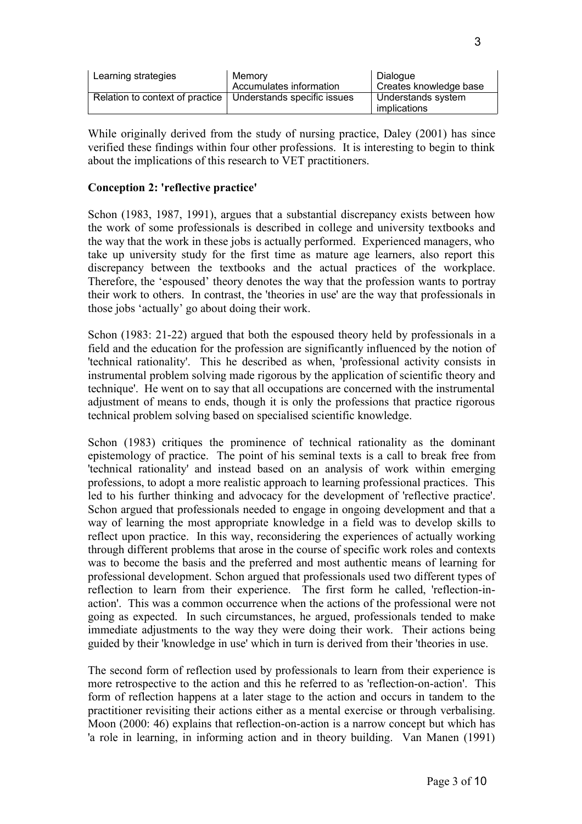| Learning strategies             | Memory<br>Accumulates information | Dialogue<br>Creates knowledge base |
|---------------------------------|-----------------------------------|------------------------------------|
| Relation to context of practice | Understands specific issues       | Understands system<br>implications |

While originally derived from the study of nursing practice, Daley (2001) has since verified these findings within four other professions. It is interesting to begin to think about the implications of this research to VET practitioners.

#### **Conception 2: 'reflective practice'**

Schon (1983, 1987, 1991), argues that a substantial discrepancy exists between how the work of some professionals is described in college and university textbooks and the way that the work in these jobs is actually performed. Experienced managers, who take up university study for the first time as mature age learners, also report this discrepancy between the textbooks and the actual practices of the workplace. Therefore, the 'espoused' theory denotes the way that the profession wants to portray their work to others. In contrast, the 'theories in use' are the way that professionals in those jobs 'actually' go about doing their work.

Schon (1983: 21-22) argued that both the espoused theory held by professionals in a field and the education for the profession are significantly influenced by the notion of 'technical rationality'. This he described as when, 'professional activity consists in instrumental problem solving made rigorous by the application of scientific theory and technique'. He went on to say that all occupations are concerned with the instrumental adjustment of means to ends, though it is only the professions that practice rigorous technical problem solving based on specialised scientific knowledge.

Schon (1983) critiques the prominence of technical rationality as the dominant epistemology of practice. The point of his seminal texts is a call to break free from 'technical rationality' and instead based on an analysis of work within emerging professions, to adopt a more realistic approach to learning professional practices. This led to his further thinking and advocacy for the development of 'reflective practice'. Schon argued that professionals needed to engage in ongoing development and that a way of learning the most appropriate knowledge in a field was to develop skills to reflect upon practice. In this way, reconsidering the experiences of actually working through different problems that arose in the course of specific work roles and contexts was to become the basis and the preferred and most authentic means of learning for professional development. Schon argued that professionals used two different types of reflection to learn from their experience. The first form he called, 'reflection-inaction'. This was a common occurrence when the actions of the professional were not going as expected. In such circumstances, he argued, professionals tended to make immediate adjustments to the way they were doing their work. Their actions being guided by their 'knowledge in use' which in turn is derived from their 'theories in use.

The second form of reflection used by professionals to learn from their experience is more retrospective to the action and this he referred to as 'reflection-on-action'. This form of reflection happens at a later stage to the action and occurs in tandem to the practitioner revisiting their actions either as a mental exercise or through verbalising. Moon (2000: 46) explains that reflection-on-action is a narrow concept but which has 'a role in learning, in informing action and in theory building. Van Manen (1991)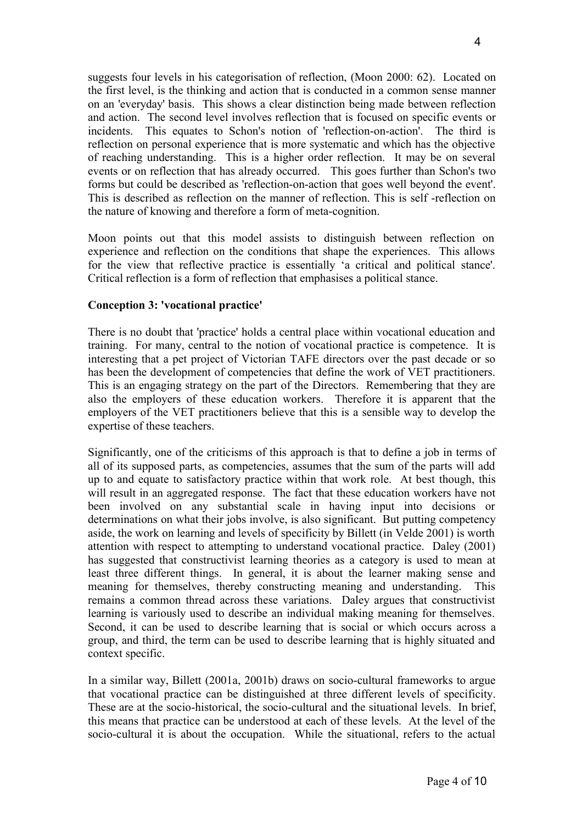suggests four levels in his categorisation of reflection, (Moon 2000: 62). Located on the first level, is the thinking and action that is conducted in a common sense manner on an 'everyday' basis. This shows a clear distinction being made between reflection and action. The second level involves reflection that is focused on specific events or incidents. This equates to Schon's notion of 'reflection-on-action'. The third is reflection on personal experience that is more systematic and which has the objective of reaching understanding. This is a higher order reflection. It may be on several events or on reflection that has already occurred. This goes further than Schon's two forms but could be described as 'reflection-on-action that goes well beyond the event'. This is described as reflection on the manner of reflection. This is self -reflection on the nature of knowing and therefore a form of meta-cognition.

Moon points out that this model assists to distinguish between reflection on experience and reflection on the conditions that shape the experiences. This allows for the view that reflective practice is essentially 'a critical and political stance'. Critical reflection is a form of reflection that emphasises a political stance.

#### **Conception 3: 'vocational practice'**

There is no doubt that 'practice' holds a central place within vocational education and training. For many, central to the notion of vocational practice is competence. It is interesting that a pet project of Victorian TAFE directors over the past decade or so has been the development of competencies that define the work of VET practitioners. This is an engaging strategy on the part of the Directors. Remembering that they are also the employers of these education workers. Therefore it is apparent that the employers of the VET practitioners believe that this is a sensible way to develop the expertise of these teachers.

Significantly, one of the criticisms of this approach is that to define a job in terms of all of its supposed parts, as competencies, assumes that the sum of the parts will add up to and equate to satisfactory practice within that work role. At best though, this will result in an aggregated response. The fact that these education workers have not been involved on any substantial scale in having input into decisions or determinations on what their jobs involve, is also significant. But putting competency aside, the work on learning and levels of specificity by Billett (in Velde 2001) is worth attention with respect to attempting to understand vocational practice. Daley (2001) has suggested that constructivist learning theories as a category is used to mean at least three different things. In general, it is about the learner making sense and meaning for themselves, thereby constructing meaning and understanding. This remains a common thread across these variations. Daley argues that constructivist learning is variously used to describe an individual making meaning for themselves. Second, it can be used to describe learning that is social or which occurs across a group, and third, the term can be used to describe learning that is highly situated and context specific.

In a similar way, Billett (2001a, 2001b) draws on socio-cultural frameworks to argue that vocational practice can be distinguished at three different levels of specificity. These are at the socio-historical, the socio-cultural and the situational levels. In brief, this means that practice can be understood at each of these levels. At the level of the socio-cultural it is about the occupation. While the situational, refers to the actual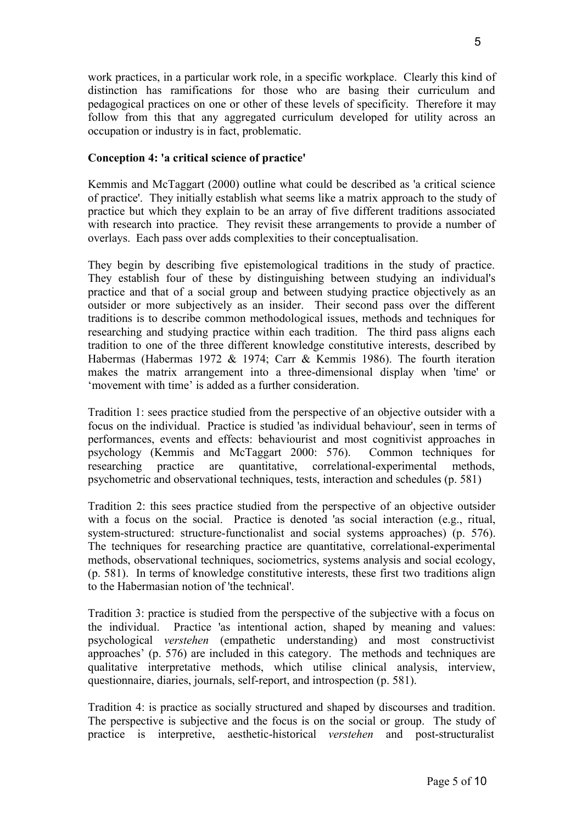work practices, in a particular work role, in a specific workplace. Clearly this kind of distinction has ramifications for those who are basing their curriculum and pedagogical practices on one or other of these levels of specificity. Therefore it may follow from this that any aggregated curriculum developed for utility across an occupation or industry is in fact, problematic.

## **Conception 4: 'a critical science of practice'**

Kemmis and McTaggart (2000) outline what could be described as 'a critical science of practice'. They initially establish what seems like a matrix approach to the study of practice but which they explain to be an array of five different traditions associated with research into practice. They revisit these arrangements to provide a number of overlays. Each pass over adds complexities to their conceptualisation.

They begin by describing five epistemological traditions in the study of practice. They establish four of these by distinguishing between studying an individual's practice and that of a social group and between studying practice objectively as an outsider or more subjectively as an insider. Their second pass over the different traditions is to describe common methodological issues, methods and techniques for researching and studying practice within each tradition. The third pass aligns each tradition to one of the three different knowledge constitutive interests, described by Habermas (Habermas 1972 & 1974; Carr & Kemmis 1986). The fourth iteration makes the matrix arrangement into a three-dimensional display when 'time' or 'movement with time' is added as a further consideration.

Tradition 1: sees practice studied from the perspective of an objective outsider with a focus on the individual. Practice is studied 'as individual behaviour', seen in terms of performances, events and effects: behaviourist and most cognitivist approaches in psychology (Kemmis and McTaggart 2000: 576). Common techniques for researching practice are quantitative, correlational-experimental methods, psychometric and observational techniques, tests, interaction and schedules (p. 581)

Tradition 2: this sees practice studied from the perspective of an objective outsider with a focus on the social. Practice is denoted 'as social interaction (e.g., ritual, system-structured: structure-functionalist and social systems approaches) (p. 576). The techniques for researching practice are quantitative, correlational-experimental methods, observational techniques, sociometrics, systems analysis and social ecology, (p. 581). In terms of knowledge constitutive interests, these first two traditions align to the Habermasian notion of 'the technical'.

Tradition 3: practice is studied from the perspective of the subjective with a focus on the individual. Practice 'as intentional action, shaped by meaning and values: psychological *verstehen* (empathetic understanding) and most constructivist approaches' (p. 576) are included in this category. The methods and techniques are qualitative interpretative methods, which utilise clinical analysis, interview, questionnaire, diaries, journals, self-report, and introspection (p. 581).

Tradition 4: is practice as socially structured and shaped by discourses and tradition. The perspective is subjective and the focus is on the social or group. The study of practice is interpretive, aesthetic-historical *verstehen* and post-structuralist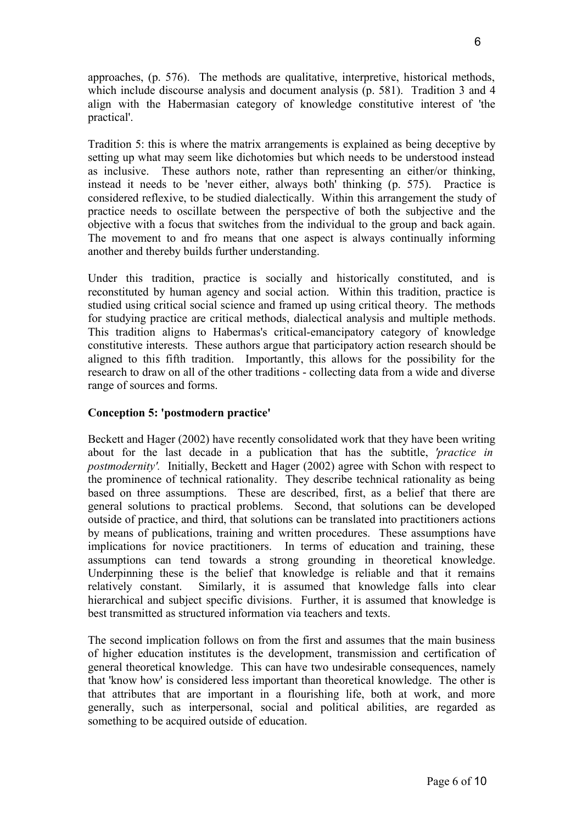approaches, (p. 576). The methods are qualitative, interpretive, historical methods, which include discourse analysis and document analysis (p. 581). Tradition 3 and 4 align with the Habermasian category of knowledge constitutive interest of 'the practical'.

Tradition 5: this is where the matrix arrangements is explained as being deceptive by setting up what may seem like dichotomies but which needs to be understood instead as inclusive. These authors note, rather than representing an either/or thinking, instead it needs to be 'never either, always both' thinking (p. 575). Practice is considered reflexive, to be studied dialectically. Within this arrangement the study of practice needs to oscillate between the perspective of both the subjective and the objective with a focus that switches from the individual to the group and back again. The movement to and fro means that one aspect is always continually informing another and thereby builds further understanding.

Under this tradition, practice is socially and historically constituted, and is reconstituted by human agency and social action. Within this tradition, practice is studied using critical social science and framed up using critical theory. The methods for studying practice are critical methods, dialectical analysis and multiple methods. This tradition aligns to Habermas's critical-emancipatory category of knowledge constitutive interests. These authors argue that participatory action research should be aligned to this fifth tradition. Importantly, this allows for the possibility for the research to draw on all of the other traditions - collecting data from a wide and diverse range of sources and forms.

## **Conception 5: 'postmodern practice'**

Beckett and Hager (2002) have recently consolidated work that they have been writing about for the last decade in a publication that has the subtitle, *'practice in postmodernity'.* Initially, Beckett and Hager (2002) agree with Schon with respect to the prominence of technical rationality. They describe technical rationality as being based on three assumptions. These are described, first, as a belief that there are general solutions to practical problems. Second, that solutions can be developed outside of practice, and third, that solutions can be translated into practitioners actions by means of publications, training and written procedures. These assumptions have implications for novice practitioners. In terms of education and training, these assumptions can tend towards a strong grounding in theoretical knowledge. Underpinning these is the belief that knowledge is reliable and that it remains relatively constant. Similarly, it is assumed that knowledge falls into clear hierarchical and subject specific divisions. Further, it is assumed that knowledge is best transmitted as structured information via teachers and texts.

The second implication follows on from the first and assumes that the main business of higher education institutes is the development, transmission and certification of general theoretical knowledge. This can have two undesirable consequences, namely that 'know how' is considered less important than theoretical knowledge. The other is that attributes that are important in a flourishing life, both at work, and more generally, such as interpersonal, social and political abilities, are regarded as something to be acquired outside of education.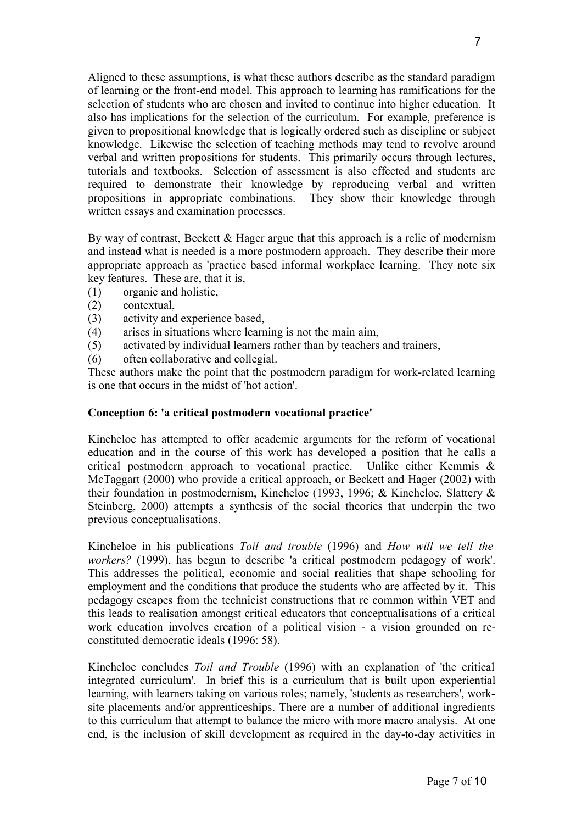Aligned to these assumptions, is what these authors describe as the standard paradigm of learning or the front-end model. This approach to learning has ramifications for the selection of students who are chosen and invited to continue into higher education. It also has implications for the selection of the curriculum. For example, preference is given to propositional knowledge that is logically ordered such as discipline or subject knowledge. Likewise the selection of teaching methods may tend to revolve around verbal and written propositions for students. This primarily occurs through lectures, tutorials and textbooks. Selection of assessment is also effected and students are required to demonstrate their knowledge by reproducing verbal and written propositions in appropriate combinations. They show their knowledge through written essays and examination processes.

By way of contrast, Beckett & Hager argue that this approach is a relic of modernism and instead what is needed is a more postmodern approach. They describe their more appropriate approach as 'practice based informal workplace learning. They note six key features. These are, that it is,

- (1) organic and holistic,
- (2) contextual,
- (3) activity and experience based,
- (4) arises in situations where learning is not the main aim,
- (5) activated by individual learners rather than by teachers and trainers,
- (6) often collaborative and collegial.

These authors make the point that the postmodern paradigm for work-related learning is one that occurs in the midst of 'hot action'.

#### **Conception 6: 'a critical postmodern vocational practice'**

Kincheloe has attempted to offer academic arguments for the reform of vocational education and in the course of this work has developed a position that he calls a critical postmodern approach to vocational practice. Unlike either Kemmis & McTaggart (2000) who provide a critical approach, or Beckett and Hager (2002) with their foundation in postmodernism, Kincheloe (1993, 1996; & Kincheloe, Slattery & Steinberg, 2000) attempts a synthesis of the social theories that underpin the two previous conceptualisations.

Kincheloe in his publications *Toil and trouble* (1996) and *How will we tell the workers?* (1999), has begun to describe 'a critical postmodern pedagogy of work'. This addresses the political, economic and social realities that shape schooling for employment and the conditions that produce the students who are affected by it. This pedagogy escapes from the technicist constructions that re common within VET and this leads to realisation amongst critical educators that conceptualisations of a critical work education involves creation of a political vision - a vision grounded on reconstituted democratic ideals (1996: 58).

Kincheloe concludes *Toil and Trouble* (1996) with an explanation of 'the critical integrated curriculum'. In brief this is a curriculum that is built upon experiential learning, with learners taking on various roles; namely, 'students as researchers', worksite placements and/or apprenticeships. There are a number of additional ingredients to this curriculum that attempt to balance the micro with more macro analysis. At one end, is the inclusion of skill development as required in the day-to-day activities in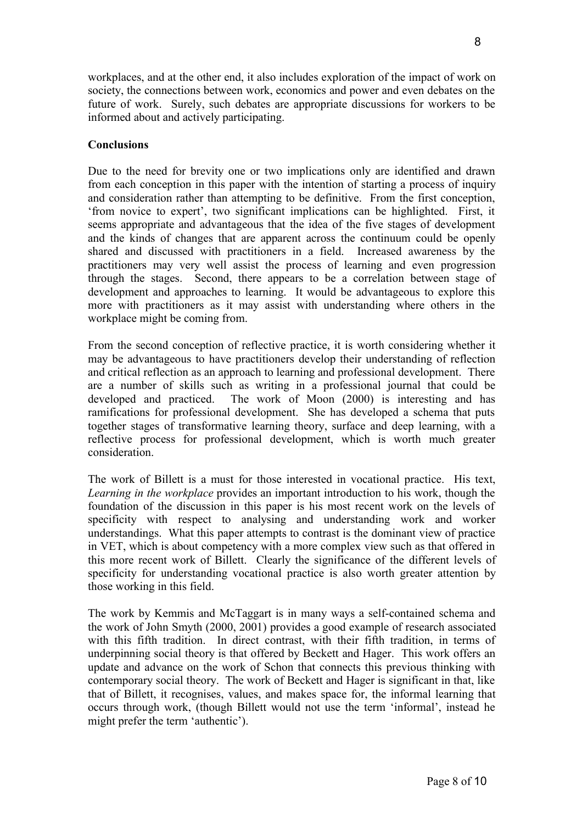workplaces, and at the other end, it also includes exploration of the impact of work on society, the connections between work, economics and power and even debates on the future of work. Surely, such debates are appropriate discussions for workers to be informed about and actively participating.

#### **Conclusions**

Due to the need for brevity one or two implications only are identified and drawn from each conception in this paper with the intention of starting a process of inquiry and consideration rather than attempting to be definitive. From the first conception, 'from novice to expert', two significant implications can be highlighted. First, it seems appropriate and advantageous that the idea of the five stages of development and the kinds of changes that are apparent across the continuum could be openly shared and discussed with practitioners in a field. Increased awareness by the practitioners may very well assist the process of learning and even progression through the stages. Second, there appears to be a correlation between stage of development and approaches to learning. It would be advantageous to explore this more with practitioners as it may assist with understanding where others in the workplace might be coming from.

From the second conception of reflective practice, it is worth considering whether it may be advantageous to have practitioners develop their understanding of reflection and critical reflection as an approach to learning and professional development. There are a number of skills such as writing in a professional journal that could be developed and practiced. The work of Moon (2000) is interesting and has ramifications for professional development. She has developed a schema that puts together stages of transformative learning theory, surface and deep learning, with a reflective process for professional development, which is worth much greater consideration.

The work of Billett is a must for those interested in vocational practice. His text, *Learning in the workplace* provides an important introduction to his work, though the foundation of the discussion in this paper is his most recent work on the levels of specificity with respect to analysing and understanding work and worker understandings. What this paper attempts to contrast is the dominant view of practice in VET, which is about competency with a more complex view such as that offered in this more recent work of Billett. Clearly the significance of the different levels of specificity for understanding vocational practice is also worth greater attention by those working in this field.

The work by Kemmis and McTaggart is in many ways a self-contained schema and the work of John Smyth (2000, 2001) provides a good example of research associated with this fifth tradition. In direct contrast, with their fifth tradition, in terms of underpinning social theory is that offered by Beckett and Hager. This work offers an update and advance on the work of Schon that connects this previous thinking with contemporary social theory. The work of Beckett and Hager is significant in that, like that of Billett, it recognises, values, and makes space for, the informal learning that occurs through work, (though Billett would not use the term 'informal', instead he might prefer the term 'authentic').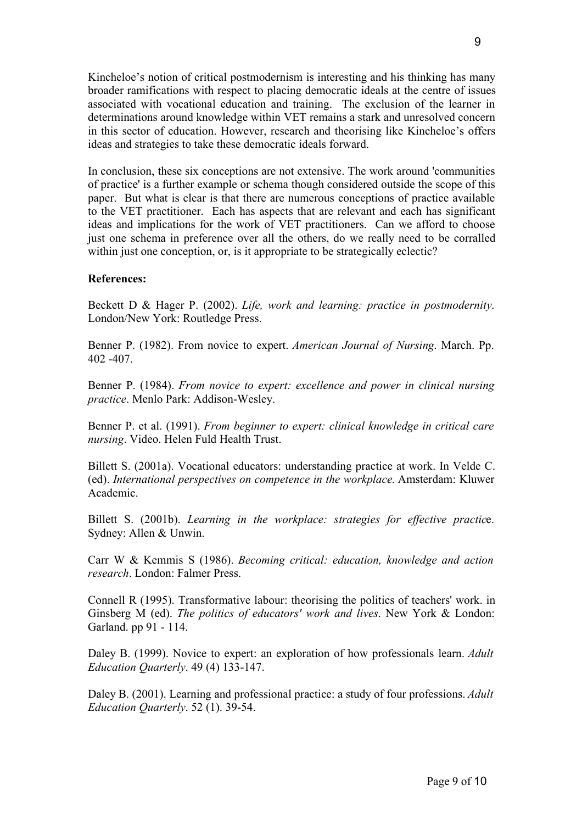Kincheloe's notion of critical postmodernism is interesting and his thinking has many broader ramifications with respect to placing democratic ideals at the centre of issues associated with vocational education and training. The exclusion of the learner in determinations around knowledge within VET remains a stark and unresolved concern in this sector of education. However, research and theorising like Kincheloe's offers ideas and strategies to take these democratic ideals forward.

In conclusion, these six conceptions are not extensive. The work around 'communities of practice' is a further example or schema though considered outside the scope of this paper. But what is clear is that there are numerous conceptions of practice available to the VET practitioner. Each has aspects that are relevant and each has significant ideas and implications for the work of VET practitioners. Can we afford to choose just one schema in preference over all the others, do we really need to be corralled within just one conception, or, is it appropriate to be strategically eclectic?

#### **References:**

Beckett D & Hager P. (2002). *Life, work and learning: practice in postmodernity*. London/New York: Routledge Press.

Benner P. (1982). From novice to expert. *American Journal of Nursing*. March. Pp. 402 -407.

Benner P. (1984). *From novice to expert: excellence and power in clinical nursing practice*. Menlo Park: Addison-Wesley.

Benner P. et al. (1991). *From beginner to expert: clinical knowledge in critical care nursing*. Video. Helen Fuld Health Trust.

Billett S. (2001a). Vocational educators: understanding practice at work. In Velde C. (ed). *International perspectives on competence in the workplace.* Amsterdam: Kluwer Academic.

Billett S. (2001b). *Learning in the workplace: strategies for effective practic*e. Sydney: Allen & Unwin.

Carr W & Kemmis S (1986). *Becoming critical: education, knowledge and action research*. London: Falmer Press.

Connell R (1995). Transformative labour: theorising the politics of teachers' work. in Ginsberg M (ed). *The politics of educators' work and lives*. New York & London: Garland. pp 91 - 114.

Daley B. (1999). Novice to expert: an exploration of how professionals learn. *Adult Education Quarterly*. 49 (4) 133-147.

Daley B. (2001). Learning and professional practice: a study of four professions. *Adult Education Quarterly*. 52 (1). 39-54.